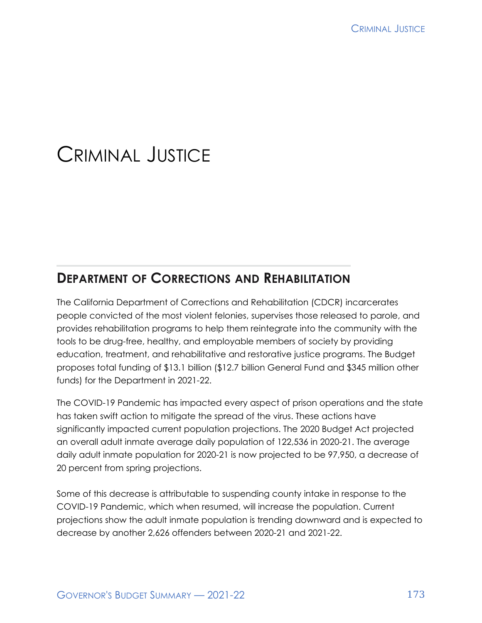# CRIMINAL JUSTICE

# **DEPARTMENT OF CORRECTIONS AND REHABILITATION**

The California Department of Corrections and Rehabilitation (CDCR) incarcerates people convicted of the most violent felonies, supervises those released to parole, and provides rehabilitation programs to help them reintegrate into the community with the tools to be drug-free, healthy, and employable members of society by providing education, treatment, and rehabilitative and restorative justice programs. The Budget proposes total funding of \$13.1 billion (\$12.7 billion General Fund and \$345 million other funds) for the Department in 2021-22.

The COVID-19 Pandemic has impacted every aspect of prison operations and the state has taken swift action to mitigate the spread of the virus. These actions have significantly impacted current population projections. The 2020 Budget Act projected an overall adult inmate average daily population of 122,536 in 2020-21. The average daily adult inmate population for 2020-21 is now projected to be 97,950, a decrease of 20 percent from spring projections.

Some of this decrease is attributable to suspending county intake in response to the COVID-19 Pandemic, which when resumed, will increase the population. Current projections show the adult inmate population is trending downward and is expected to decrease by another 2,626 offenders between 2020-21 and 2021-22.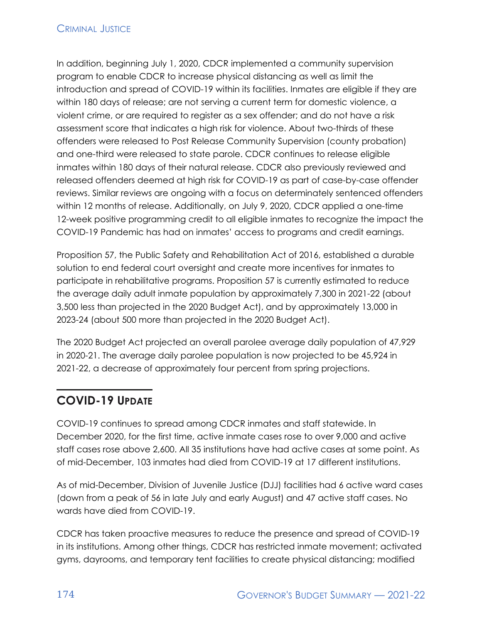#### **CRIMINAL JUSTICE**

In addition, beginning July 1, 2020, CDCR implemented a community supervision program to enable CDCR to increase physical distancing as well as limit the introduction and spread of COVID-19 within its facilities. Inmates are eligible if they are within 180 days of release; are not serving a current term for domestic violence, a violent crime, or are required to register as a sex offender; and do not have a risk assessment score that indicates a high risk for violence. About two-thirds of these offenders were released to Post Release Community Supervision (county probation) and one-third were released to state parole. CDCR continues to release eligible inmates within 180 days of their natural release. CDCR also previously reviewed and released offenders deemed at high risk for COVID-19 as part of case-by-case offender reviews. Similar reviews are ongoing with a focus on determinately sentenced offenders within 12 months of release. Additionally, on July 9, 2020, CDCR applied a one-time 12-week positive programming credit to all eligible inmates to recognize the impact the COVID-19 Pandemic has had on inmates' access to programs and credit earnings.

Proposition 57, the Public Safety and Rehabilitation Act of 2016, established a durable solution to end federal court oversight and create more incentives for inmates to participate in rehabilitative programs. Proposition 57 is currently estimated to reduce the average daily adult inmate population by approximately 7,300 in 2021-22 (about 3,500 less than projected in the 2020 Budget Act), and by approximately 13,000 in 2023-24 (about 500 more than projected in the 2020 Budget Act).

The 2020 Budget Act projected an overall parolee average daily population of 47,929 in 2020-21. The average daily parolee population is now projected to be 45,924 in 2021-22, a decrease of approximately four percent from spring projections.

# **COVID-19 UPDATE**

COVID-19 continues to spread among CDCR inmates and staff statewide. In December 2020, for the first time, active inmate cases rose to over 9,000 and active staff cases rose above 2,600. All 35 institutions have had active cases at some point. As of mid-December, 103 inmates had died from COVID-19 at 17 different institutions.

As of mid-December, Division of Juvenile Justice (DJJ) facilities had 6 active ward cases (down from a peak of 56 in late July and early August) and 47 active staff cases. No wards have died from COVID-19.

CDCR has taken proactive measures to reduce the presence and spread of COVID-19 in its institutions. Among other things, CDCR has restricted inmate movement; activated gyms, dayrooms, and temporary tent facilities to create physical distancing; modified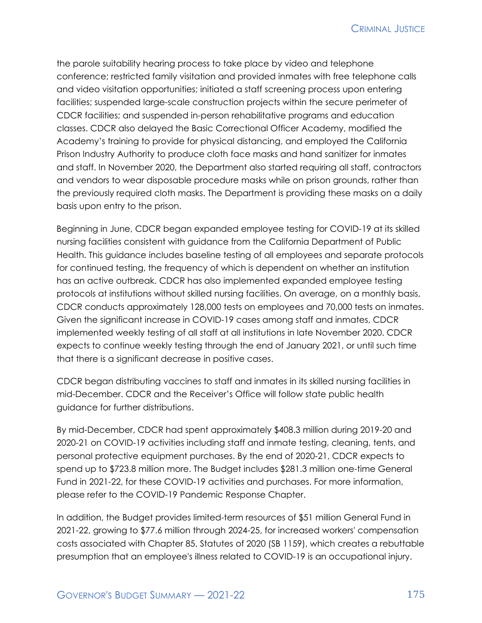the parole suitability hearing process to take place by video and telephone conference; restricted family visitation and provided inmates with free telephone calls and video visitation opportunities; initiated a staff screening process upon entering facilities; suspended large-scale construction projects within the secure perimeter of CDCR facilities; and suspended in-person rehabilitative programs and education classes. CDCR also delayed the Basic Correctional Officer Academy, modified the Academy's training to provide for physical distancing, and employed the California Prison Industry Authority to produce cloth face masks and hand sanitizer for inmates and staff. In November 2020, the Department also started requiring all staff, contractors and vendors to wear disposable procedure masks while on prison grounds, rather than the previously required cloth masks. The Department is providing these masks on a daily basis upon entry to the prison.

Beginning in June, CDCR began expanded employee testing for COVID-19 at its skilled nursing facilities consistent with guidance from the California Department of Public Health. This guidance includes baseline testing of all employees and separate protocols for continued testing, the frequency of which is dependent on whether an institution has an active outbreak. CDCR has also implemented expanded employee testing protocols at institutions without skilled nursing facilities. On average, on a monthly basis, CDCR conducts approximately 128,000 tests on employees and 70,000 tests on inmates. Given the significant increase in COVID-19 cases among staff and inmates, CDCR implemented weekly testing of all staff at all institutions in late November 2020. CDCR expects to continue weekly testing through the end of January 2021, or until such time that there is a significant decrease in positive cases.

CDCR began distributing vaccines to staff and inmates in its skilled nursing facilities in mid-December. CDCR and the Receiver's Office will follow state public health guidance for further distributions.

By mid-December, CDCR had spent approximately \$408.3 million during 2019-20 and 2020-21 on COVID-19 activities including staff and inmate testing, cleaning, tents, and personal protective equipment purchases. By the end of 2020-21, CDCR expects to spend up to \$723.8 million more. The Budget includes \$281.3 million one-time General Fund in 2021-22, for these COVID-19 activities and purchases. For more information, please refer to the COVID-19 Pandemic Response Chapter.

In addition, the Budget provides limited-term resources of \$51 million General Fund in 2021-22, growing to \$77.6 million through 2024-25, for increased workers' compensation costs associated with Chapter 85, Statutes of 2020 (SB 1159), which creates a rebuttable presumption that an employee's illness related to COVID-19 is an occupational injury.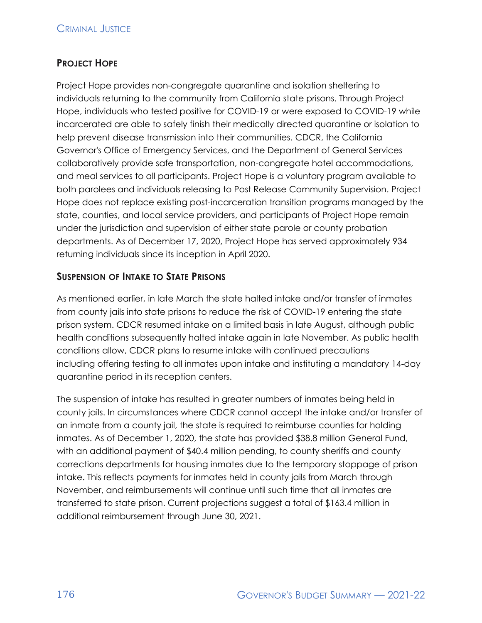#### **PROJECT HOPE**

Project Hope provides non-congregate quarantine and isolation sheltering to individuals returning to the community from California state prisons. Through Project Hope, individuals who tested positive for COVID-19 or were exposed to COVID-19 while incarcerated are able to safely finish their medically directed quarantine or isolation to help prevent disease transmission into their communities. CDCR, the California Governor's Office of Emergency Services, and the Department of General Services collaboratively provide safe transportation, non-congregate hotel accommodations, and meal services to all participants. Project Hope is a voluntary program available to both parolees and individuals releasing to Post Release Community Supervision. Project Hope does not replace existing post-incarceration transition programs managed by the state, counties, and local service providers, and participants of Project Hope remain under the jurisdiction and supervision of either state parole or county probation departments. As of December 17, 2020, Project Hope has served approximately 934 returning individuals since its inception in April 2020.

#### **SUSPENSION OF INTAKE TO STATE PRISONS**

As mentioned earlier, in late March the state halted intake and/or transfer of inmates from county jails into state prisons to reduce the risk of COVID-19 entering the state prison system. CDCR resumed intake on a limited basis in late August, although public health conditions subsequently halted intake again in late November. As public health conditions allow, CDCR plans to resume intake with continued precautions including offering testing to all inmates upon intake and instituting a mandatory 14-day quarantine period in its reception centers.

The suspension of intake has resulted in greater numbers of inmates being held in county jails. In circumstances where CDCR cannot accept the intake and/or transfer of an inmate from a county jail, the state is required to reimburse counties for holding inmates. As of December 1, 2020, the state has provided \$38.8 million General Fund, with an additional payment of \$40.4 million pending, to county sheriffs and county corrections departments for housing inmates due to the temporary stoppage of prison intake. This reflects payments for inmates held in county jails from March through November, and reimbursements will continue until such time that all inmates are transferred to state prison. Current projections suggest a total of \$163.4 million in additional reimbursement through June 30, 2021.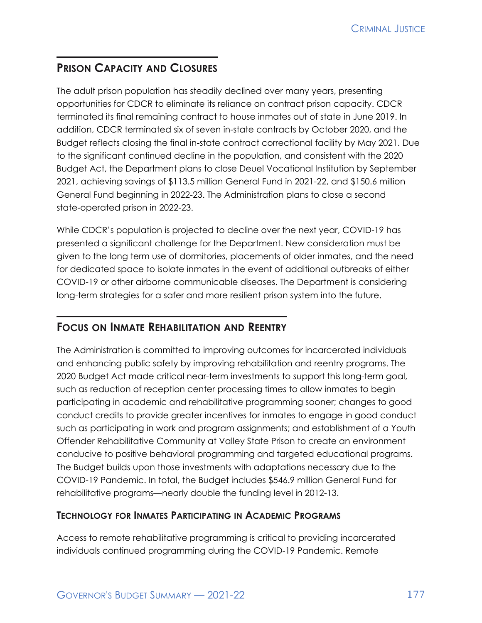# **PRISON CAPACITY AND CLOSURES**

The adult prison population has steadily declined over many years, presenting opportunities for CDCR to eliminate its reliance on contract prison capacity. CDCR terminated its final remaining contract to house inmates out of state in June 2019. In addition, CDCR terminated six of seven in-state contracts by October 2020, and the Budget reflects closing the final in-state contract correctional facility by May 2021. Due to the significant continued decline in the population, and consistent with the 2020 Budget Act, the Department plans to close Deuel Vocational Institution by September 2021, achieving savings of \$113.5 million General Fund in 2021-22, and \$150.6 million General Fund beginning in 2022-23. The Administration plans to close a second state-operated prison in 2022-23.

While CDCR's population is projected to decline over the next year, COVID-19 has presented a significant challenge for the Department. New consideration must be given to the long term use of dormitories, placements of older inmates, and the need for dedicated space to isolate inmates in the event of additional outbreaks of either COVID-19 or other airborne communicable diseases. The Department is considering long-term strategies for a safer and more resilient prison system into the future.

#### **FOCUS ON INMATE REHABILITATION AND REENTRY**

The Administration is committed to improving outcomes for incarcerated individuals and enhancing public safety by improving rehabilitation and reentry programs. The 2020 Budget Act made critical near-term investments to support this long-term goal, such as reduction of reception center processing times to allow inmates to begin participating in academic and rehabilitative programming sooner; changes to good conduct credits to provide greater incentives for inmates to engage in good conduct such as participating in work and program assignments; and establishment of a Youth Offender Rehabilitative Community at Valley State Prison to create an environment conducive to positive behavioral programming and targeted educational programs. The Budget builds upon those investments with adaptations necessary due to the COVID-19 Pandemic. In total, the Budget includes \$546.9 million General Fund for rehabilitative programs—nearly double the funding level in 2012-13.

#### **TECHNOLOGY FOR INMATES PARTICIPATING IN ACADEMIC PROGRAMS**

Access to remote rehabilitative programming is critical to providing incarcerated individuals continued programming during the COVID-19 Pandemic. Remote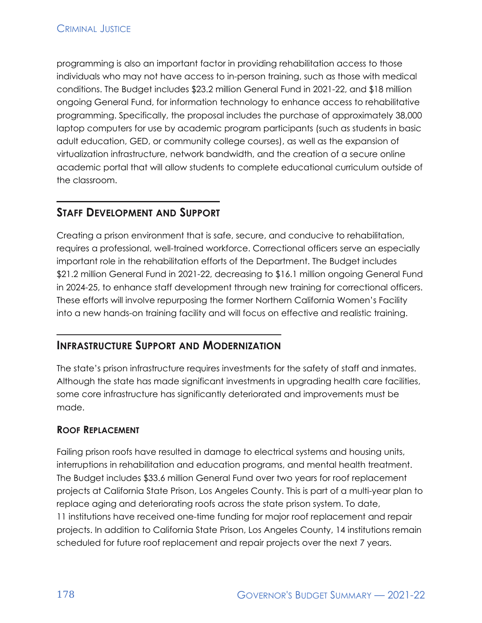programming is also an important factor in providing rehabilitation access to those individuals who may not have access to in-person training, such as those with medical conditions. The Budget includes \$23.2 million General Fund in 2021-22, and \$18 million ongoing General Fund, for information technology to enhance access to rehabilitative programming. Specifically, the proposal includes the purchase of approximately 38,000 laptop computers for use by academic program participants (such as students in basic adult education, GED, or community college courses), as well as the expansion of virtualization infrastructure, network bandwidth, and the creation of a secure online academic portal that will allow students to complete educational curriculum outside of the classroom.

## **STAFF DEVELOPMENT AND SUPPORT**

Creating a prison environment that is safe, secure, and conducive to rehabilitation, requires a professional, well-trained workforce. Correctional officers serve an especially important role in the rehabilitation efforts of the Department. The Budget includes \$21.2 million General Fund in 2021-22, decreasing to \$16.1 million ongoing General Fund in 2024-25, to enhance staff development through new training for correctional officers. These efforts will involve repurposing the former Northern California Women's Facility into a new hands-on training facility and will focus on effective and realistic training.

#### **INFRASTRUCTURE SUPPORT AND MODERNIZATION**

The state's prison infrastructure requires investments for the safety of staff and inmates. Although the state has made significant investments in upgrading health care facilities, some core infrastructure has significantly deteriorated and improvements must be made.

#### **ROOF REPLACEMENT**

Failing prison roofs have resulted in damage to electrical systems and housing units, interruptions in rehabilitation and education programs, and mental health treatment. The Budget includes \$33.6 million General Fund over two years for roof replacement projects at California State Prison, Los Angeles County. This is part of a multi-year plan to replace aging and deteriorating roofs across the state prison system. To date, 11 institutions have received one-time funding for major roof replacement and repair projects. In addition to California State Prison, Los Angeles County, 14 institutions remain scheduled for future roof replacement and repair projects over the next 7 years.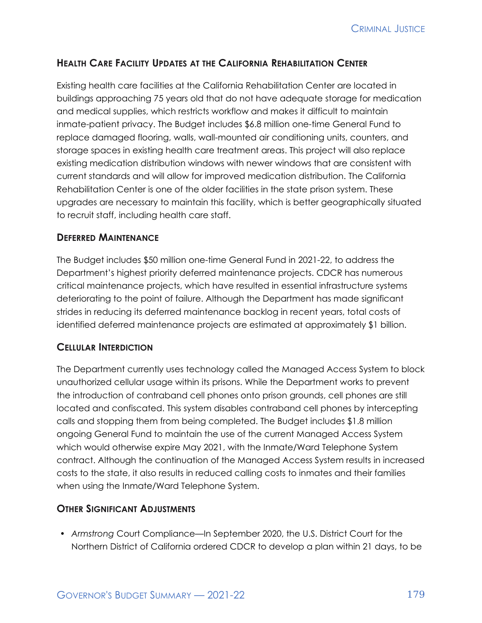#### **HEALTH CARE FACILITY UPDATES AT THE CALIFORNIA REHABILITATION CENTER**

Existing health care facilities at the California Rehabilitation Center are located in buildings approaching 75 years old that do not have adequate storage for medication and medical supplies, which restricts workflow and makes it difficult to maintain inmate-patient privacy. The Budget includes \$6.8 million one-time General Fund to replace damaged flooring, walls, wall-mounted air conditioning units, counters, and storage spaces in existing health care treatment areas. This project will also replace existing medication distribution windows with newer windows that are consistent with current standards and will allow for improved medication distribution. The California Rehabilitation Center is one of the older facilities in the state prison system. These upgrades are necessary to maintain this facility, which is better geographically situated to recruit staff, including health care staff.

#### **DEFERRED MAINTENANCE**

The Budget includes \$50 million one-time General Fund in 2021-22, to address the Department's highest priority deferred maintenance projects. CDCR has numerous critical maintenance projects, which have resulted in essential infrastructure systems deteriorating to the point of failure. Although the Department has made significant strides in reducing its deferred maintenance backlog in recent years, total costs of identified deferred maintenance projects are estimated at approximately \$1 billion.

#### **CELLULAR INTERDICTION**

The Department currently uses technology called the Managed Access System to block unauthorized cellular usage within its prisons. While the Department works to prevent the introduction of contraband cell phones onto prison grounds, cell phones are still located and confiscated. This system disables contraband cell phones by intercepting calls and stopping them from being completed. The Budget includes \$1.8 million ongoing General Fund to maintain the use of the current Managed Access System which would otherwise expire May 2021, with the Inmate/Ward Telephone System contract. Although the continuation of the Managed Access System results in increased costs to the state, it also results in reduced calling costs to inmates and their families when using the Inmate/Ward Telephone System.

#### **OTHER SIGNIFICANT ADJUSTMENTS**

• *Armstrong* Court Compliance—In September 2020, the U.S. District Court for the Northern District of California ordered CDCR to develop a plan within 21 days, to be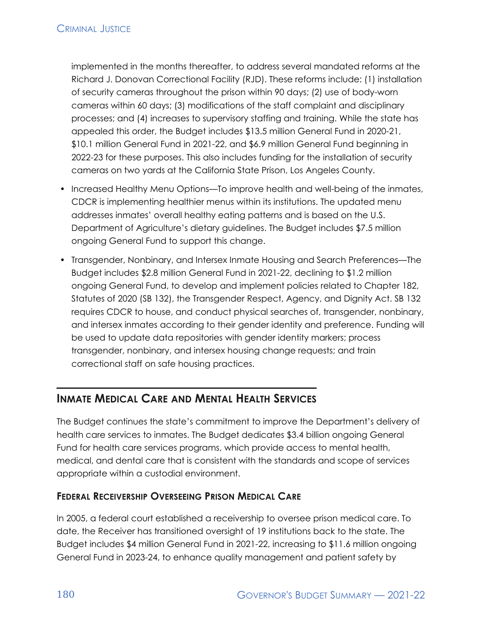implemented in the months thereafter, to address several mandated reforms at the Richard J. Donovan Correctional Facility (RJD). These reforms include: (1) installation of security cameras throughout the prison within 90 days; (2) use of body-worn cameras within 60 days; (3) modifications of the staff complaint and disciplinary processes; and (4) increases to supervisory staffing and training. While the state has appealed this order, the Budget includes \$13.5 million General Fund in 2020-21, \$10.1 million General Fund in 2021-22, and \$6.9 million General Fund beginning in 2022-23 for these purposes. This also includes funding for the installation of security cameras on two yards at the California State Prison, Los Angeles County.

- Increased Healthy Menu Options—To improve health and well-being of the inmates, CDCR is implementing healthier menus within its institutions. The updated menu addresses inmates' overall healthy eating patterns and is based on the U.S. Department of Agriculture's dietary guidelines. The Budget includes \$7.5 million ongoing General Fund to support this change.
- Transgender, Nonbinary, and Intersex Inmate Housing and Search Preferences—The Budget includes \$2.8 million General Fund in 2021-22, declining to \$1.2 million ongoing General Fund, to develop and implement policies related to Chapter 182, Statutes of 2020 (SB 132), the Transgender Respect, Agency, and Dignity Act. SB 132 requires CDCR to house, and conduct physical searches of, transgender, nonbinary, and intersex inmates according to their gender identity and preference. Funding will be used to update data repositories with gender identity markers; process transgender, nonbinary, and intersex housing change requests; and train correctional staff on safe housing practices.

# **INMATE MEDICAL CARE AND MENTAL HEALTH SERVICES**

The Budget continues the state's commitment to improve the Department's delivery of health care services to inmates. The Budget dedicates \$3.4 billion ongoing General Fund for health care services programs, which provide access to mental health, medical, and dental care that is consistent with the standards and scope of services appropriate within a custodial environment.

#### **FEDERAL RECEIVERSHIP OVERSEEING PRISON MEDICAL CARE**

In 2005, a federal court established a receivership to oversee prison medical care. To date, the Receiver has transitioned oversight of 19 institutions back to the state. The Budget includes \$4 million General Fund in 2021-22, increasing to \$11.6 million ongoing General Fund in 2023-24, to enhance quality management and patient safety by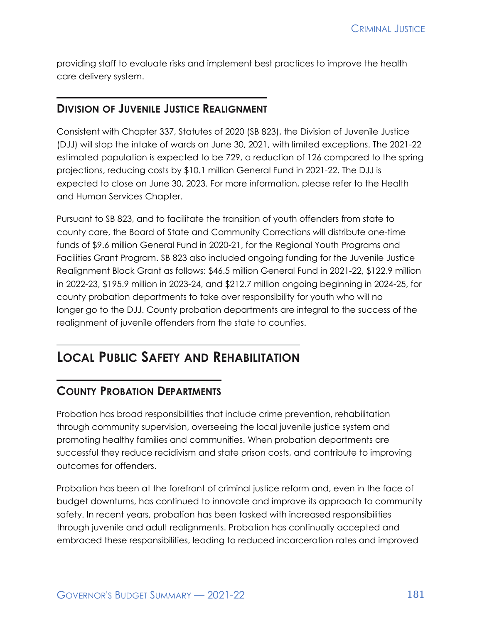providing staff to evaluate risks and implement best practices to improve the health care delivery system.

#### **DIVISION OF JUVENILE JUSTICE REALIGNMENT**

Consistent with Chapter 337, Statutes of 2020 (SB 823), the Division of Juvenile Justice (DJJ) will stop the intake of wards on June 30, 2021, with limited exceptions. The 2021-22 estimated population is expected to be 729, a reduction of 126 compared to the spring projections, reducing costs by \$10.1 million General Fund in 2021-22. The DJJ is expected to close on June 30, 2023. For more information, please refer to the Health and Human Services Chapter.

Pursuant to SB 823, and to facilitate the transition of youth offenders from state to county care, the Board of State and Community Corrections will distribute one-time funds of \$9.6 million General Fund in 2020-21, for the Regional Youth Programs and Facilities Grant Program. SB 823 also included ongoing funding for the Juvenile Justice Realignment Block Grant as follows: \$46.5 million General Fund in 2021-22, \$122.9 million in 2022-23, \$195.9 million in 2023-24, and \$212.7 million ongoing beginning in 2024-25, for county probation departments to take over responsibility for youth who will no longer go to the DJJ. County probation departments are integral to the success of the realignment of juvenile offenders from the state to counties.

# **LOCAL PUBLIC SAFETY AND REHABILITATION**

#### **COUNTY PROBATION DEPARTMENTS**

Probation has broad responsibilities that include crime prevention, rehabilitation through community supervision, overseeing the local juvenile justice system and promoting healthy families and communities. When probation departments are successful they reduce recidivism and state prison costs, and contribute to improving outcomes for offenders.

Probation has been at the forefront of criminal justice reform and, even in the face of budget downturns, has continued to innovate and improve its approach to community safety. In recent years, probation has been tasked with increased responsibilities through juvenile and adult realignments. Probation has continually accepted and embraced these responsibilities, leading to reduced incarceration rates and improved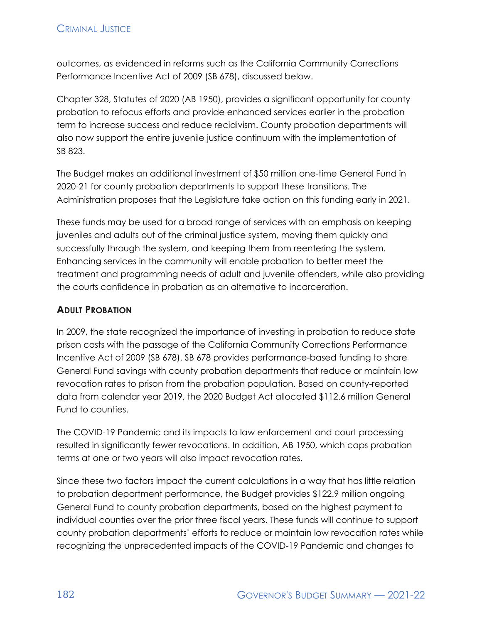outcomes, as evidenced in reforms such as the California Community Corrections Performance Incentive Act of 2009 (SB 678), discussed below.

Chapter 328, Statutes of 2020 (AB 1950), provides a significant opportunity for county probation to refocus efforts and provide enhanced services earlier in the probation term to increase success and reduce recidivism. County probation departments will also now support the entire juvenile justice continuum with the implementation of SB 823.

The Budget makes an additional investment of \$50 million one-time General Fund in 2020-21 for county probation departments to support these transitions. The Administration proposes that the Legislature take action on this funding early in 2021.

These funds may be used for a broad range of services with an emphasis on keeping juveniles and adults out of the criminal justice system, moving them quickly and successfully through the system, and keeping them from reentering the system. Enhancing services in the community will enable probation to better meet the treatment and programming needs of adult and juvenile offenders, while also providing the courts confidence in probation as an alternative to incarceration.

#### **ADULT PROBATION**

In 2009, the state recognized the importance of investing in probation to reduce state prison costs with the passage of the California Community Corrections Performance Incentive Act of 2009 (SB 678). SB 678 provides performance-based funding to share General Fund savings with county probation departments that reduce or maintain low revocation rates to prison from the probation population. Based on county-reported data from calendar year 2019, the 2020 Budget Act allocated \$112.6 million General Fund to counties.

The COVID-19 Pandemic and its impacts to law enforcement and court processing resulted in significantly fewer revocations. In addition, AB 1950, which caps probation terms at one or two years will also impact revocation rates.

Since these two factors impact the current calculations in a way that has little relation to probation department performance, the Budget provides \$122.9 million ongoing General Fund to county probation departments, based on the highest payment to individual counties over the prior three fiscal years. These funds will continue to support county probation departments' efforts to reduce or maintain low revocation rates while recognizing the unprecedented impacts of the COVID-19 Pandemic and changes to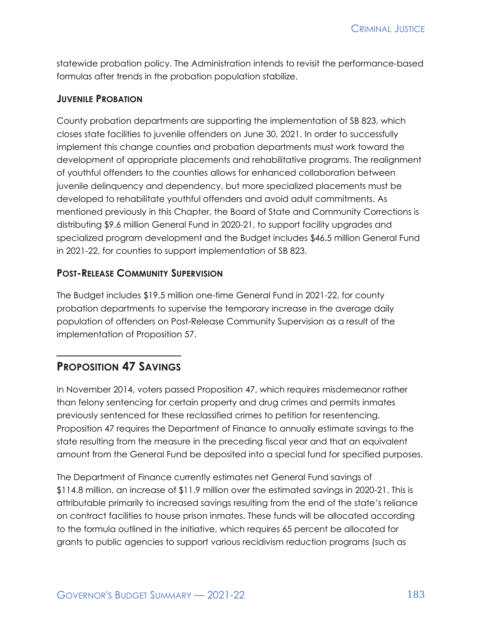statewide probation policy. The Administration intends to revisit the performance-based formulas after trends in the probation population stabilize.

#### **JUVENILE PROBATION**

County probation departments are supporting the implementation of SB 823, which closes state facilities to juvenile offenders on June 30, 2021. In order to successfully implement this change counties and probation departments must work toward the development of appropriate placements and rehabilitative programs. The realignment of youthful offenders to the counties allows for enhanced collaboration between juvenile delinquency and dependency, but more specialized placements must be developed to rehabilitate youthful offenders and avoid adult commitments. As mentioned previously in this Chapter, the Board of State and Community Corrections is distributing \$9.6 million General Fund in 2020-21, to support facility upgrades and specialized program development and the Budget includes \$46.5 million General Fund in 2021-22, for counties to support implementation of SB 823.

#### **POST-RELEASE COMMUNITY SUPERVISION**

The Budget includes \$19.5 million one-time General Fund in 2021-22, for county probation departments to supervise the temporary increase in the average daily population of offenders on Post-Release Community Supervision as a result of the implementation of Proposition 57.

## **PROPOSITION 47 SAVINGS**

In November 2014, voters passed Proposition 47, which requires misdemeanor rather than felony sentencing for certain property and drug crimes and permits inmates previously sentenced for these reclassified crimes to petition for resentencing. Proposition 47 requires the Department of Finance to annually estimate savings to the state resulting from the measure in the preceding fiscal year and that an equivalent amount from the General Fund be deposited into a special fund for specified purposes.

The Department of Finance currently estimates net General Fund savings of \$114.8 million, an increase of \$11.9 million over the estimated savings in 2020-21. This is attributable primarily to increased savings resulting from the end of the state's reliance on contract facilities to house prison inmates. These funds will be allocated according to the formula outlined in the initiative, which requires 65 percent be allocated for grants to public agencies to support various recidivism reduction programs (such as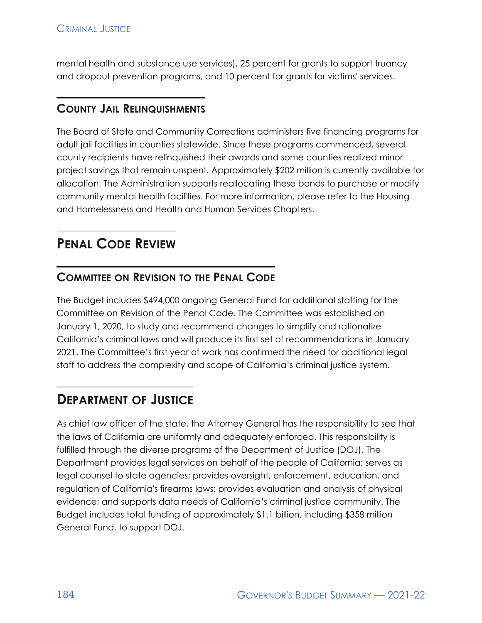mental health and substance use services), 25 percent for grants to support truancy and dropout prevention programs, and 10 percent for grants for victims' services.

### **COUNTY JAIL RELINQUISHMENTS**

The Board of State and Community Corrections administers five financing programs for adult jail facilities in counties statewide. Since these programs commenced, several county recipients have relinquished their awards and some counties realized minor project savings that remain unspent. Approximately \$202 million is currently available for allocation. The Administration supports reallocating these bonds to purchase or modify community mental health facilities. For more information, please refer to the Housing and Homelessness and Health and Human Services Chapters.

# **PENAL CODE REVIEW**

# **COMMITTEE ON REVISION TO THE PENAL CODE**

The Budget includes \$494,000 ongoing General Fund for additional staffing for the Committee on Revision of the Penal Code. The Committee was established on January 1, 2020, to study and recommend changes to simplify and rationalize California's criminal laws and will produce its first set of recommendations in January 2021. The Committee's first year of work has confirmed the need for additional legal staff to address the complexity and scope of California's criminal justice system.

# **DEPARTMENT OF JUSTICE**

As chief law officer of the state, the Attorney General has the responsibility to see that the laws of California are uniformly and adequately enforced. This responsibility is fulfilled through the diverse programs of the Department of Justice (DOJ). The Department provides legal services on behalf of the people of California; serves as legal counsel to state agencies; provides oversight, enforcement, education, and regulation of California's firearms laws; provides evaluation and analysis of physical evidence; and supports data needs of California's criminal justice community. The Budget includes total funding of approximately \$1.1 billion, including \$358 million General Fund, to support DOJ.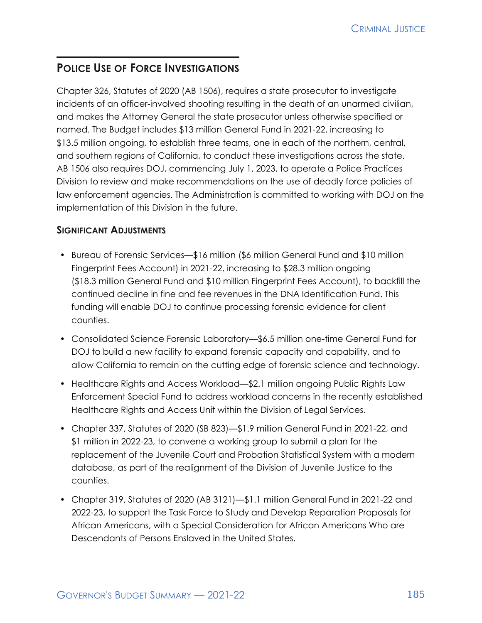# **POLICE USE OF FORCE INVESTIGATIONS**

Chapter 326, Statutes of 2020 (AB 1506), requires a state prosecutor to investigate incidents of an officer-involved shooting resulting in the death of an unarmed civilian, and makes the Attorney General the state prosecutor unless otherwise specified or named. The Budget includes \$13 million General Fund in 2021-22, increasing to \$13.5 million ongoing, to establish three teams, one in each of the northern, central, and southern regions of California, to conduct these investigations across the state. AB 1506 also requires DOJ, commencing July 1, 2023, to operate a Police Practices Division to review and make recommendations on the use of deadly force policies of law enforcement agencies. The Administration is committed to working with DOJ on the implementation of this Division in the future.

#### **SIGNIFICANT ADJUSTMENTS**

- Bureau of Forensic Services—\$16 million (\$6 million General Fund and \$10 million Fingerprint Fees Account) in 2021-22, increasing to \$28.3 million ongoing (\$18.3 million General Fund and \$10 million Fingerprint Fees Account), to backfill the continued decline in fine and fee revenues in the DNA Identification Fund. This funding will enable DOJ to continue processing forensic evidence for client counties.
- Consolidated Science Forensic Laboratory—\$6.5 million one-time General Fund for DOJ to build a new facility to expand forensic capacity and capability, and to allow California to remain on the cutting edge of forensic science and technology.
- Healthcare Rights and Access Workload—\$2.1 million ongoing Public Rights Law Enforcement Special Fund to address workload concerns in the recently established Healthcare Rights and Access Unit within the Division of Legal Services.
- Chapter 337, Statutes of 2020 (SB 823)—\$1.9 million General Fund in 2021-22, and \$1 million in 2022-23, to convene a working group to submit a plan for the replacement of the Juvenile Court and Probation Statistical System with a modern database, as part of the realignment of the Division of Juvenile Justice to the counties.
- Chapter 319, Statutes of 2020 (AB 3121)—\$1.1 million General Fund in 2021-22 and 2022-23, to support the Task Force to Study and Develop Reparation Proposals for African Americans, with a Special Consideration for African Americans Who are Descendants of Persons Enslaved in the United States.